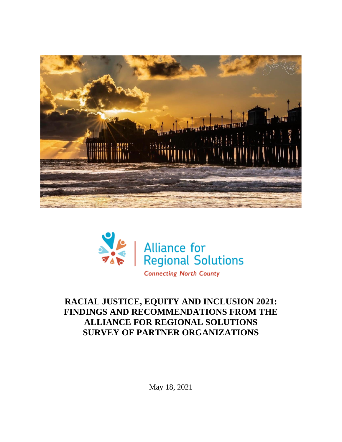



# **RACIAL JUSTICE, EQUITY AND INCLUSION 2021: FINDINGS AND RECOMMENDATIONS FROM THE ALLIANCE FOR REGIONAL SOLUTIONS SURVEY OF PARTNER ORGANIZATIONS**

May 18, 2021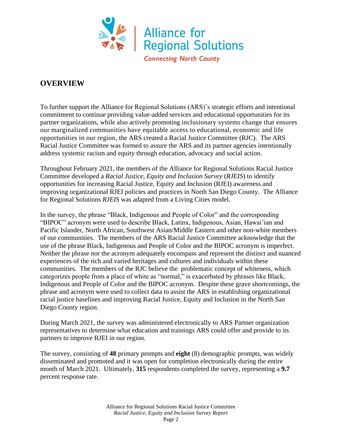

## **OVERVIEW**

To further support the Alliance for Regional Solutions (ARS)'s strategic efforts and intentional commitment to continue providing value-added services and educational opportunities for its partner organizations, while also actively promoting inclusionary systems change that ensures our marginalized communities have equitable access to educational, economic and life opportunities in our region, the ARS created a Racial Justice Committee (RJC). The ARS Racial Justice Committee was formed to assure the ARS and its partner agencies intentionally address systemic racism and equity through education, advocacy and social action.

Throughout February 2021, the members of the Alliance for Regional Solutions Racial Justice Committee developed a *Racial Justice, Equity and Inclusion Survey* (*RJEIS*) to identify opportunities for increasing Racial Justice, Equity and Inclusion (RJEI) awareness and improving organizational RJEI policies and practices in North San Diego County. The Alliance for Regional Solutions *RJEIS* was adapted from a Living Cities model.

In the survey, the phrase "Black, Indigenous and People of Color" and the corresponding "BIPOC" acronym were used to describe Black, Latinx, Indigenous, Asian, Hawai'ian and Pacific Islander, North African, Southwest Asian/Middle Eastern and other non-white members of our communities. The members of the ARS Racial Justice Committee acknowledge that the use of the phrase Black, Indigenous and People of Color and the BIPOC acronym is imperfect. Neither the phrase nor the acronym adequately encompass and represent the distinct and nuanced experiences of the rich and varied heritages and cultures and individuals within these communities. The members of the RJC believe the problematic concept of whiteness, which categorizes people from a place of white as "normal," is exacerbated by phrases like Black, Indigenous and People of Color and the BIPOC acronym. Despite these grave shortcomings, the phrase and acronym were used to collect data to assist the ARS in establishing organizational racial justice baselines and improving Racial Justice, Equity and Inclusion in the North San Diego County region.

During March 2021, the survey was administered electronically to ARS Partner organization representatives to determine what education and trainings ARS could offer and provide to its partners to improve RJEI in our region.

The survey, consisting of **48** primary prompts and **eight** (8) demographic prompts, was widely disseminated and promoted and it was open for completion electronically during the entire month of March 2021. Ultimately, **315** respondents completed the survey, representing a **9.7** percent response rate.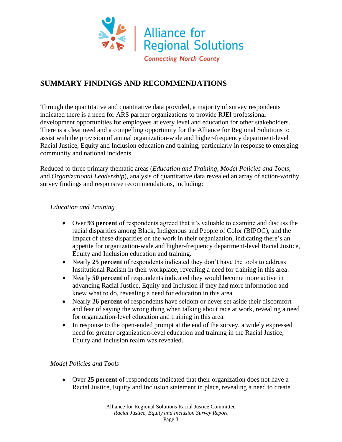

## **SUMMARY FINDINGS AND RECOMMENDATIONS**

Through the quantitative and quantitative data provided, a majority of survey respondents indicated there is a need for ARS partner organizations to provide RJEI professional development opportunities for employees at every level and education for other stakeholders. There is a clear need and a compelling opportunity for the Alliance for Regional Solutions to assist with the provision of annual organization-wide and higher-frequency department-level Racial Justice, Equity and Inclusion education and training, particularly in response to emerging community and national incidents.

Reduced to three primary thematic areas (*Education and Training*, *Model Policies and Tools*, and *Organizational Leadership*), analysis of quantitative data revealed an array of action-worthy survey findings and responsive recommendations, including:

## *Education and Training*

- Over **93 percent** of respondents agreed that it's valuable to examine and discuss the racial disparities among Black, Indigenous and People of Color (BIPOC), and the impact of these disparities on the work in their organization, indicating there's an appetite for organization-wide and higher-frequency department-level Racial Justice, Equity and Inclusion education and training.
- Nearly 25 **percent** of respondents indicated they don't have the tools to address Institutional Racism in their workplace, revealing a need for training in this area.
- Nearly **50 percent** of respondents indicated they would become more active in advancing Racial Justice, Equity and Inclusion if they had more information and knew what to do, revealing a need for education in this area.
- Nearly **26 percent** of respondents have seldom or never set aside their discomfort and fear of saying the wrong thing when talking about race at work, revealing a need for organization-level education and training in this area.
- In response to the open-ended prompt at the end of the survey, a widely expressed need for greater organization-level education and training in the Racial Justice, Equity and Inclusion realm was revealed.

#### *Model Policies and Tools*

• Over **25 percent** of respondents indicated that their organization does not have a Racial Justice, Equity and Inclusion statement in place, revealing a need to create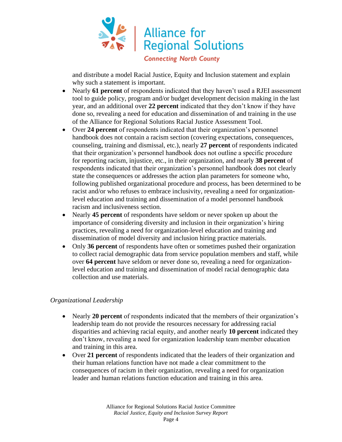

and distribute a model Racial Justice, Equity and Inclusion statement and explain why such a statement is important.

- Nearly **61 percent** of respondents indicated that they haven't used a RJEI assessment tool to guide policy, program and/or budget development decision making in the last year, and an additional over **22 percent** indicated that they don't know if they have done so, revealing a need for education and dissemination of and training in the use of the Alliance for Regional Solutions Racial Justice Assessment Tool.
- Over **24 percent** of respondents indicated that their organization's personnel handbook does not contain a racism section (covering expectations, consequences, counseling, training and dismissal, etc.), nearly **27 percent** of respondents indicated that their organization's personnel handbook does not outline a specific procedure for reporting racism, injustice, etc., in their organization, and nearly **38 percent** of respondents indicated that their organization's personnel handbook does not clearly state the consequences or addresses the action plan parameters for someone who, following published organizational procedure and process, has been determined to be racist and/or who refuses to embrace inclusivity, revealing a need for organizationlevel education and training and dissemination of a model personnel handbook racism and inclusiveness section.
- Nearly **45 percent** of respondents have seldom or never spoken up about the importance of considering diversity and inclusion in their organization's hiring practices, revealing a need for organization-level education and training and dissemination of model diversity and inclusion hiring practice materials.
- Only **36 percent** of respondents have often or sometimes pushed their organization to collect racial demographic data from service population members and staff, while over **64 percent** have seldom or never done so, revealing a need for organizationlevel education and training and dissemination of model racial demographic data collection and use materials.

#### *Organizational Leadership*

- Nearly **20 percent** of respondents indicated that the members of their organization's leadership team do not provide the resources necessary for addressing racial disparities and achieving racial equity, and another nearly **10 percent** indicated they don't know, revealing a need for organization leadership team member education and training in this area.
- Over **21 percent** of respondents indicated that the leaders of their organization and their human relations function have not made a clear commitment to the consequences of racism in their organization, revealing a need for organization leader and human relations function education and training in this area.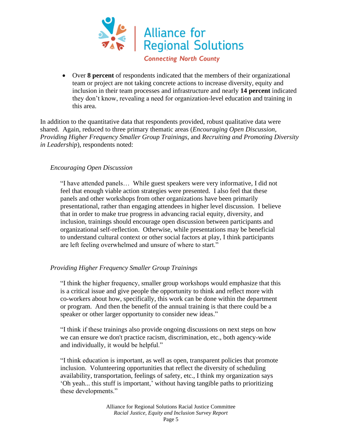

**Connecting North County** 

• Over **8 percent** of respondents indicated that the members of their organizational team or project are not taking concrete actions to increase diversity, equity and inclusion in their team processes and infrastructure and nearly **14 percent** indicated they don't know, revealing a need for organization-level education and training in this area.

In addition to the quantitative data that respondents provided, robust qualitative data were shared. Again, reduced to three primary thematic areas (*Encouraging Open Discussion*, *Providing Higher Frequency Smaller Group Trainings*, and *Recruiting and Promoting Diversity in Leadership*), respondents noted:

#### *Encouraging Open Discussion*

"I have attended panels… While guest speakers were very informative, I did not feel that enough viable action strategies were presented. I also feel that these panels and other workshops from other organizations have been primarily presentational, rather than engaging attendees in higher level discussion. I believe that in order to make true progress in advancing racial equity, diversity, and inclusion, trainings should encourage open discussion between participants and organizational self-reflection. Otherwise, while presentations may be beneficial to understand cultural context or other social factors at play, I think participants are left feeling overwhelmed and unsure of where to start."

#### *Providing Higher Frequency Smaller Group Trainings*

"I think the higher frequency, smaller group workshops would emphasize that this is a critical issue and give people the opportunity to think and reflect more with co-workers about how, specifically, this work can be done within the department or program. And then the benefit of the annual training is that there could be a speaker or other larger opportunity to consider new ideas."

"I think if these trainings also provide ongoing discussions on next steps on how we can ensure we don't practice racism, discrimination, etc., both agency-wide and individually, it would be helpful."

"I think education is important, as well as open, transparent policies that promote inclusion. Volunteering opportunities that reflect the diversity of scheduling availability, transportation, feelings of safety, etc., I think my organization says 'Oh yeah... this stuff is important,' without having tangible paths to prioritizing these developments."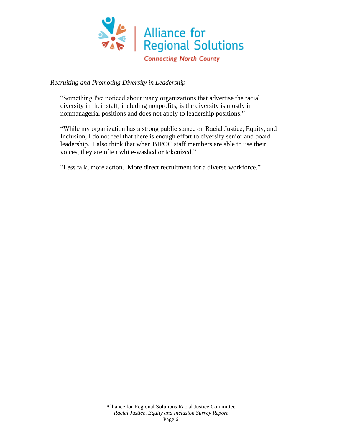

#### *Recruiting and Promoting Diversity in Leadership*

"Something I've noticed about many organizations that advertise the racial diversity in their staff, including nonprofits, is the diversity is mostly in nonmanagerial positions and does not apply to leadership positions."

"While my organization has a strong public stance on Racial Justice, Equity, and Inclusion, I do not feel that there is enough effort to diversify senior and board leadership. I also think that when BIPOC staff members are able to use their voices, they are often white-washed or tokenized."

"Less talk, more action. More direct recruitment for a diverse workforce."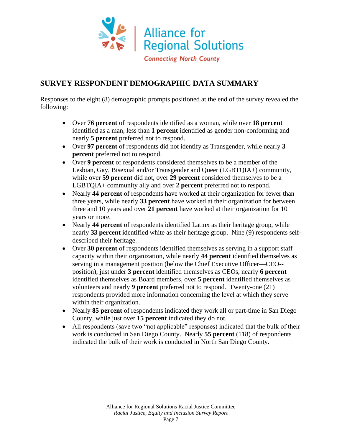

## **SURVEY RESPONDENT DEMOGRAPHIC DATA SUMMARY**

Responses to the eight (8) demographic prompts positioned at the end of the survey revealed the following:

- Over **76 percent** of respondents identified as a woman, while over **18 percent** identified as a man, less than **1 percent** identified as gender non-conforming and nearly **5 percent** preferred not to respond.
- Over **97 percent** of respondents did not identify as Transgender, while nearly **3 percent** preferred not to respond.
- Over **9 percent** of respondents considered themselves to be a member of the Lesbian, Gay, Bisexual and/or Transgender and Queer (LGBTQIA+) community, while over **59 percent** did not, over **29 percent** considered themselves to be a LGBTQIA+ community ally and over **2 percent** preferred not to respond.
- Nearly **44 percent** of respondents have worked at their organization for fewer than three years, while nearly **33 percent** have worked at their organization for between three and 10 years and over **21 percent** have worked at their organization for 10 years or more.
- Nearly **44 percent** of respondents identified Latinx as their heritage group, while nearly **33 percent** identified white as their heritage group. Nine (9) respondents selfdescribed their heritage.
- Over **30 percent** of respondents identified themselves as serving in a support staff capacity within their organization, while nearly **44 percent** identified themselves as serving in a management position (below the Chief Executive Officer—CEO- position), just under **3 percent** identified themselves as CEOs, nearly **6 percent** identified themselves as Board members, over **5 percent** identified themselves as volunteers and nearly **9 percent** preferred not to respond. Twenty-one (21) respondents provided more information concerning the level at which they serve within their organization.
- Nearly **85 percent** of respondents indicated they work all or part-time in San Diego County, while just over **15 percent** indicated they do not.
- All respondents (save two "not applicable" responses) indicated that the bulk of their work is conducted in San Diego County. Nearly **55 percent** (118) of respondents indicated the bulk of their work is conducted in North San Diego County.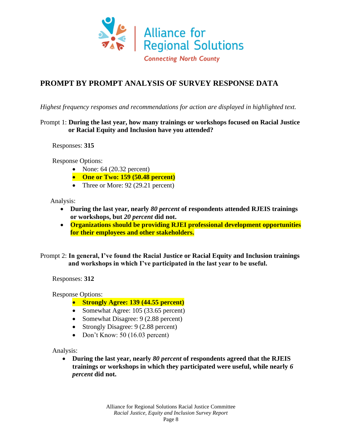

## **PROMPT BY PROMPT ANALYSIS OF SURVEY RESPONSE DATA**

*Highest frequency responses and recommendations for action are displayed in highlighted text.*

#### Prompt 1: **During the last year, how many trainings or workshops focused on Racial Justice or Racial Equity and Inclusion have you attended?**

Responses: **315**

Response Options:

- None:  $64$  (20.32 percent)
- **One or Two: 159 (50.48 percent)**
- Three or More: 92 (29.21 percent)

Analysis:

- **During the last year, nearly** *80 percent* **of respondents attended RJEIS trainings or workshops, but** *20 percent* **did not.**
- **Organizations should be providing RJEI professional development opportunities for their employees and other stakeholders.**

Prompt 2: **In general, I've found the Racial Justice or Racial Equity and Inclusion trainings and workshops in which I've participated in the last year to be useful.**

Responses: **312**

Response Options:

- **Strongly Agree: 139 (44.55 percent)**
- Somewhat Agree: 105 (33.65 percent)
- Somewhat Disagree: 9 (2.88 percent)
- Strongly Disagree: 9 (2.88 percent)
- Don't Know: 50 (16.03 percent)

Analysis:

• **During the last year, nearly** *80 percent* **of respondents agreed that the RJEIS trainings or workshops in which they participated were useful, while nearly** *6 percent* **did not.**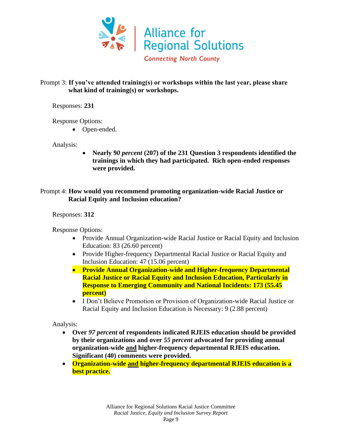

#### Prompt 3: **If you've attended training(s) or workshops within the last year, please share what kind of training(s) or workshops.**

Responses: **231**

Response Options:

• Open-ended.

Analysis:

• **Nearly 9***0 percent* **(207) of the 231 Question 3 respondents identified the trainings in which they had participated. Rich open-ended responses were provided.**

## Prompt 4: **How would you recommend promoting organization-wide Racial Justice or Racial Equity and Inclusion education?**

Responses: **312**

Response Options:

- Provide Annual Organization-wide Racial Justice or Racial Equity and Inclusion Education: 83 (26.60 percent)
- Provide Higher-frequency Departmental Racial Justice or Racial Equity and Inclusion Education: 47 (15.06 percent)
- **Provide Annual Organization-wide and Higher-frequency Departmental Racial Justice or Racial Equity and Inclusion Education, Particularly in Response to Emerging Community and National Incidents: 173 (55.45 percent)**
- I Don't Believe Promotion or Provision of Organization-wide Racial Justice or Racial Equity and Inclusion Education is Necessary: 9 (2.88 percent)

- **Over** *97 percent* **of respondents indicated RJEIS education should be provided by their organizations and over** *55 percent* **advocated for providing annual organization-wide and higher-frequency departmental RJEIS education. Significant (40) comments were provided.**
- **Organization-wide and higher-frequency departmental RJEIS education is a best practice.**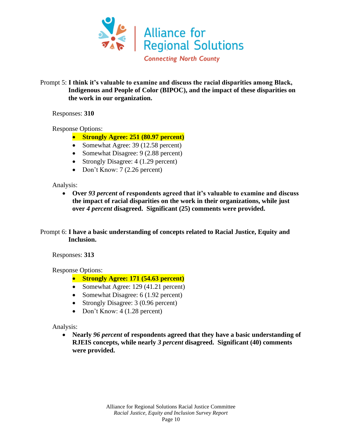

#### Prompt 5: **I think it's valuable to examine and discuss the racial disparities among Black, Indigenous and People of Color (BIPOC), and the impact of these disparities on the work in our organization.**

Responses: **310**

Response Options:

- **Strongly Agree: 251 (80.97 percent)**
- Somewhat Agree: 39 (12.58 percent)
- Somewhat Disagree: 9 (2.88 percent)
- Strongly Disagree: 4 (1.29 percent)
- Don't Know: 7 (2.26 percent)

Analysis:

• **Over** *93 percent* **of respondents agreed that it's valuable to examine and discuss the impact of racial disparities on the work in their organizations, while just over** *4 percent* **disagreed. Significant (25) comments were provided.**

#### Prompt 6: **I have a basic understanding of concepts related to Racial Justice, Equity and Inclusion.**

Responses: **313**

Response Options:

- **Strongly Agree: 171 (54.63 percent)**
- Somewhat Agree: 129 (41.21 percent)
- Somewhat Disagree: 6 (1.92 percent)
- Strongly Disagree: 3 (0.96 percent)
- Don't Know: 4 (1.28 percent)

Analysis:

• **Nearly** *96 percent* **of respondents agreed that they have a basic understanding of RJEIS concepts, while nearly** *3 percent* **disagreed. Significant (40) comments were provided.**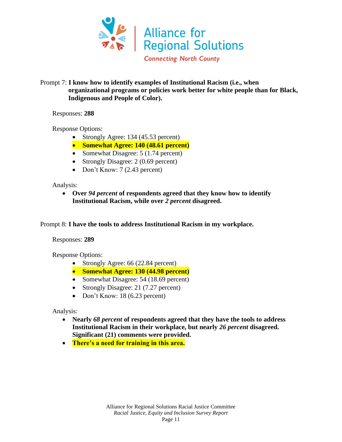

#### Prompt 7: **I know how to identify examples of Institutional Racism (i.e., when organizational programs or policies work better for white people than for Black, Indigenous and People of Color).**

Responses: **288**

Response Options:

- Strongly Agree: 134 (45.53 percent)
- **Somewhat Agree: 140 (48.61 percent)**
- Somewhat Disagree: 5 (1.74 percent)
- Strongly Disagree: 2 (0.69 percent)
- Don't Know: 7 (2.43 percent)

Analysis:

• **Over** *94 percent* **of respondents agreed that they know how to identify Institutional Racism, while over** *2 percent* **disagreed.**

Prompt 8: **I have the tools to address Institutional Racism in my workplace.**

Responses: **289**

Response Options:

- Strongly Agree: 66 (22.84 percent)
- **Somewhat Agree: 130 (44.98 percent)**
- Somewhat Disagree: 54 (18.69 percent)
- Strongly Disagree: 21 (7.27 percent)
- Don't Know: 18 (6.23 percent)

- **Nearly** *68 percent* **of respondents agreed that they have the tools to address Institutional Racism in their workplace, but nearly** *26 percent* **disagreed. Significant (21) comments were provided.**
- **There's a need for training in this area.**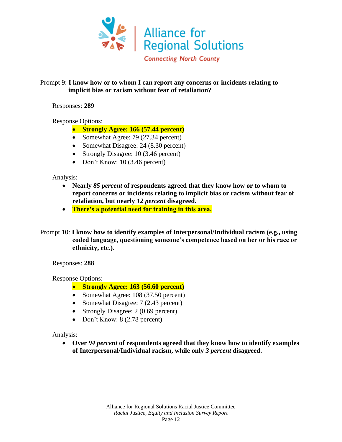

#### Prompt 9: **I know how or to whom I can report any concerns or incidents relating to implicit bias or racism without fear of retaliation?**

Responses: **289**

Response Options:

- **Strongly Agree: 166 (57.44 percent)**
- Somewhat Agree: 79 (27.34 percent)
- Somewhat Disagree: 24 (8.30 percent)
- Strongly Disagree: 10 (3.46 percent)
- Don't Know: 10 (3.46 percent)

Analysis:

- **Nearly** *85 percent* **of respondents agreed that they know how or to whom to report concerns or incidents relating to implicit bias or racism without fear of retaliation, but nearly** *12 percent* **disagreed.**
- **There's a potential need for training in this area.**
- Prompt 10: **I know how to identify examples of Interpersonal/Individual racism (e.g., using coded language, questioning someone's competence based on her or his race or ethnicity, etc.).**

Responses: **288**

Response Options:

- **Strongly Agree: 163 (56.60 percent)**
- Somewhat Agree: 108 (37.50 percent)
- Somewhat Disagree: 7 (2.43 percent)
- Strongly Disagree: 2 (0.69 percent)
- Don't Know: 8 (2.78 percent)

Analysis:

• **Over** *94 percent* **of respondents agreed that they know how to identify examples of Interpersonal/Individual racism, while only** *3 percent* **disagreed.**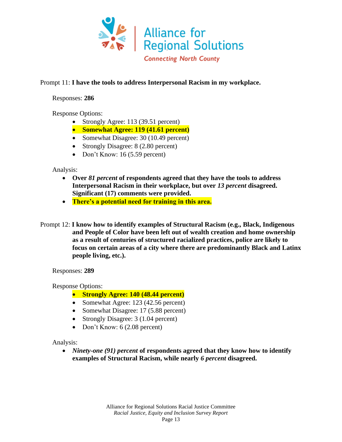

#### Prompt 11: **I have the tools to address Interpersonal Racism in my workplace.**

Responses: **286**

Response Options:

- Strongly Agree: 113 (39.51 percent)
- **Somewhat Agree: 119 (41.61 percent)**
- Somewhat Disagree: 30 (10.49 percent)
- Strongly Disagree: 8 (2.80 percent)
- Don't Know:  $16 (5.59)$  percent)

Analysis:

- **Over** *81 percent* **of respondents agreed that they have the tools to address Interpersonal Racism in their workplace, but over** *13 percent* **disagreed. Significant (17) comments were provided.**
- **There's a potential need for training in this area.**
- Prompt 12: **I know how to identify examples of Structural Racism (e.g., Black, Indigenous and People of Color have been left out of wealth creation and home ownership as a result of centuries of structured racialized practices, police are likely to focus on certain areas of a city where there are predominantly Black and Latinx people living, etc.).**

Responses: **289**

Response Options:

- **Strongly Agree: 140 (48.44 percent)**
- Somewhat Agree: 123 (42.56 percent)
- Somewhat Disagree: 17 (5.88 percent)
- Strongly Disagree: 3 (1.04 percent)
- Don't Know: 6 (2.08 percent)

Analysis:

• *Ninety-one (91) percent* **of respondents agreed that they know how to identify examples of Structural Racism, while nearly** *6 percent* **disagreed.**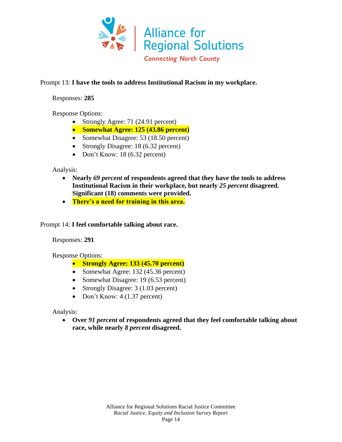

#### Prompt 13: **I have the tools to address Institutional Racism in my workplace.**

Responses: **285**

Response Options:

- Strongly Agree: 71 (24.91 percent)
- **Somewhat Agree: 125 (43.86 percent)**
- Somewhat Disagree: 53 (18.50 percent)
- Strongly Disagree: 18 (6.32 percent)
- Don't Know: 18 (6.32 percent)

Analysis:

- **Nearly** *69 percent* **of respondents agreed that they have the tools to address Institutional Racism in their workplace, but nearly** *25 percent* **disagreed. Significant (18) comments were provided.**
- **There's a need for training in this area.**

Prompt 14: **I feel comfortable talking about race.**

Responses: **291**

Response Options:

- **Strongly Agree: 133 (45.70 percent)**
- Somewhat Agree: 132 (45.36 percent)
- Somewhat Disagree: 19 (6.53 percent)
- Strongly Disagree: 3 (1.03 percent)
- Don't Know: 4 (1.37 percent)

Analysis:

• **Over** *91 percent* **of respondents agreed that they feel comfortable talking about race, while nearly** *8 percent* **disagreed.**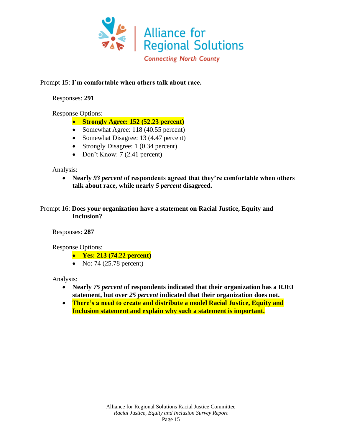

#### Prompt 15: **I'm comfortable when others talk about race.**

Responses: **291**

Response Options:

- **Strongly Agree: 152 (52.23 percent)**
- Somewhat Agree: 118 (40.55 percent)
- Somewhat Disagree: 13 (4.47 percent)
- Strongly Disagree: 1 (0.34 percent)
- Don't Know:  $7(2.41)$  percent)

Analysis:

• **Nearly** *93 percent* **of respondents agreed that they're comfortable when others talk about race, while nearly** *5 percent* **disagreed.**

Prompt 16: **Does your organization have a statement on Racial Justice, Equity and Inclusion?**

Responses: **287**

Response Options:

- **Yes: 213 (74.22 percent)**
- No: 74 (25.78 percent)

- **Nearly** *75 percent* **of respondents indicated that their organization has a RJEI statement, but over** *25 percent* **indicated that their organization does not.**
- **There's a need to create and distribute a model Racial Justice, Equity and Inclusion statement and explain why such a statement is important.**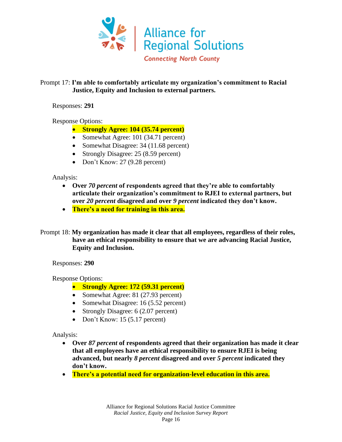

## Prompt 17: **I'm able to comfortably articulate my organization's commitment to Racial Justice, Equity and Inclusion to external partners.**

Responses: **291**

Response Options:

- **Strongly Agree: 104 (35.74 percent)**
- Somewhat Agree: 101 (34.71 percent)
- Somewhat Disagree: 34 (11.68 percent)
- Strongly Disagree: 25 (8.59 percent)
- Don't Know: 27 (9.28 percent)

Analysis:

- **Over** *70 percent* **of respondents agreed that they're able to comfortably articulate their organization's commitment to RJEI to external partners, but over** *20 percent* **disagreed and over** *9 percent* **indicated they don't know.**
- **There's a need for training in this area.**
- Prompt 18: **My organization has made it clear that all employees, regardless of their roles, have an ethical responsibility to ensure that we are advancing Racial Justice, Equity and Inclusion.**

Responses: **290**

Response Options:

- **Strongly Agree: 172 (59.31 percent)**
- Somewhat Agree: 81 (27.93 percent)
- Somewhat Disagree: 16 (5.52 percent)
- Strongly Disagree: 6 (2.07 percent)
- Don't Know: 15 (5.17 percent)

- **Over** *87 percent* **of respondents agreed that their organization has made it clear that all employees have an ethical responsibility to ensure RJEI is being advanced, but nearly** *8 percent* **disagreed and over** *5 percent* **indicated they don't know.**
- **There's a potential need for organization-level education in this area.**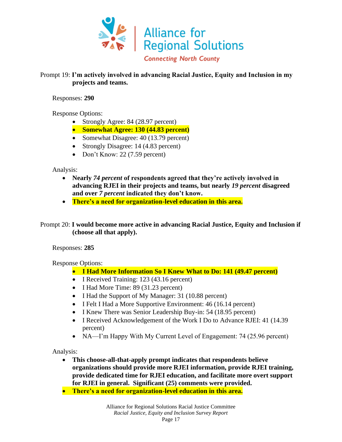

## Prompt 19: **I'm actively involved in advancing Racial Justice, Equity and Inclusion in my projects and teams.**

Responses: **290**

Response Options:

- Strongly Agree: 84 (28.97 percent)
- **Somewhat Agree: 130 (44.83 percent)**
- Somewhat Disagree: 40 (13.79 percent)
- Strongly Disagree: 14 (4.83 percent)
- Don't Know: 22 (7.59 percent)

Analysis:

- **Nearly** *74 percent* **of respondents agreed that they're actively involved in advancing RJEI in their projects and teams, but nearly** *19 percent* **disagreed and over** *7 percent* **indicated they don't know.**
- **There's a need for organization-level education in this area.**

Prompt 20: **I would become more active in advancing Racial Justice, Equity and Inclusion if (choose all that apply).**

Responses: **285**

Response Options:

- **I Had More Information So I Knew What to Do: 141 (49.47 percent)**
- I Received Training: 123 (43.16 percent)
- I Had More Time: 89 (31.23 percent)
- I Had the Support of My Manager: 31 (10.88 percent)
- I Felt I Had a More Supportive Environment: 46 (16.14 percent)
- I Knew There was Senior Leadership Buy-in: 54 (18.95 percent)
- I Received Acknowledgement of the Work I Do to Advance RJEI: 41 (14.39) percent)
- NA—I'm Happy With My Current Level of Engagement: 74 (25.96 percent)

- **This choose-all-that-apply prompt indicates that respondents believe organizations should provide more RJEI information, provide RJEI training, provide dedicated time for RJEI education, and facilitate more overt support for RJEI in general. Significant (25) comments were provided.**
- **There's a need for organization-level education in this area.**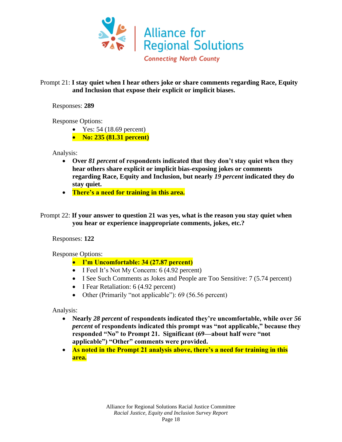

#### Prompt 21: **I stay quiet when I hear others joke or share comments regarding Race, Equity and Inclusion that expose their explicit or implicit biases.**

Responses: **289**

Response Options:

- Yes:  $54(18.69)$  percent)
- **No: 235 (81.31 percent)**

Analysis:

- **Over** *81 percent* **of respondents indicated that they don't stay quiet when they hear others share explicit or implicit bias-exposing jokes or comments regarding Race, Equity and Inclusion, but nearly** *19 percent* **indicated they do stay quiet.**
- **There's a need for training in this area.**
- Prompt 22: **If your answer to question 21 was yes, what is the reason you stay quiet when you hear or experience inappropriate comments, jokes, etc.?**

Responses: **122**

Response Options:

- **I'm Uncomfortable: 34 (27.87 percent)**
- I Feel It's Not My Concern: 6 (4.92 percent)
- I See Such Comments as Jokes and People are Too Sensitive: 7 (5.74 percent)
- I Fear Retaliation: 6 (4.92 percent)
- Other (Primarily "not applicable"): 69 (56.56 percent)

- **Nearly** *28 percent* **of respondents indicated they're uncomfortable, while over** *56 percent* **of respondents indicated this prompt was "not applicable," because they responded "No" to Prompt 21. Significant (69—about half were "not applicable") "Other" comments were provided.**
- **As noted in the Prompt 21 analysis above, there's a need for training in this area.**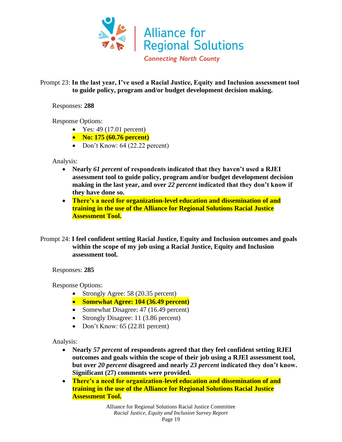

#### Prompt 23: **In the last year, I've used a Racial Justice, Equity and Inclusion assessment tool to guide policy, program and/or budget development decision making.**

Responses: **288**

Response Options:

- Yes:  $49(17.01)$  percent)
- **No: 175 (60.76 percent)**
- Don't Know: 64 (22.22 percent)

Analysis:

- **Nearly** *61 percent* **of respondents indicated that they haven't used a RJEI assessment tool to guide policy, program and/or budget development decision making in the last year, and over** *22 percent* **indicated that they don't know if they have done so.**
- **There's a need for organization-level education and dissemination of and training in the use of the Alliance for Regional Solutions Racial Justice Assessment Tool.**
- Prompt 24: **I feel confident setting Racial Justice, Equity and Inclusion outcomes and goals within the scope of my job using a Racial Justice, Equity and Inclusion assessment tool.**

Responses: **285**

Response Options:

- Strongly Agree: 58 (20.35 percent)
- **Somewhat Agree: 104 (36.49 percent)**
- Somewhat Disagree: 47 (16.49 percent)
- Strongly Disagree: 11 (3.86 percent)
- Don't Know: 65 (22.81 percent)

- **Nearly** *57 percent* **of respondents agreed that they feel confident setting RJEI outcomes and goals within the scope of their job using a RJEI assessment tool, but over** *20 percent* **disagreed and nearly** *23 percent* **indicated they don't know. Significant (27) comments were provided.**
- **There's a need for organization-level education and dissemination of and training in the use of the Alliance for Regional Solutions Racial Justice Assessment Tool.**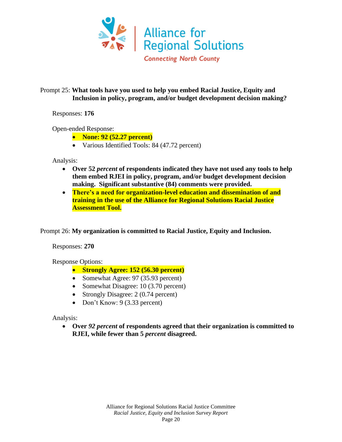

## Prompt 25: **What tools have you used to help you embed Racial Justice, Equity and Inclusion in policy, program, and/or budget development decision making?**

Responses: **176**

Open-ended Response:

- **None: 92 (52.27 percent)**
- Various Identified Tools: 84 (47.72 percent)

Analysis:

- **Over 52** *percent* **of respondents indicated they have not used any tools to help them embed RJEI in policy, program, and/or budget development decision making. Significant substantive (84) comments were provided.**
- **There's a need for organization-level education and dissemination of and training in the use of the Alliance for Regional Solutions Racial Justice Assessment Tool.**

Prompt 26: **My organization is committed to Racial Justice, Equity and Inclusion.**

Responses: **270**

Response Options:

- **Strongly Agree: 152 (56.30 percent)**
- Somewhat Agree: 97 (35.93 percent)
- Somewhat Disagree: 10 (3.70 percent)
- Strongly Disagree: 2 (0.74 percent)
- Don't Know: 9 (3.33 percent)

Analysis:

• **Over** *92 percent* **of respondents agreed that their organization is committed to RJEI, while fewer than 5** *percent* **disagreed.**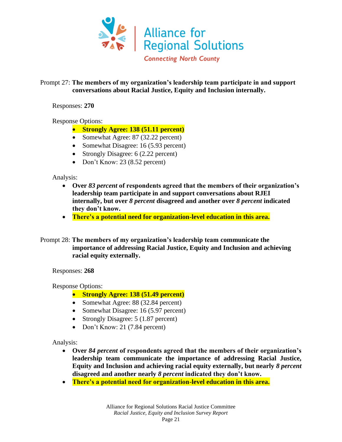

#### Prompt 27: **The members of my organization's leadership team participate in and support conversations about Racial Justice, Equity and Inclusion internally.**

Responses: **270**

Response Options:

- **Strongly Agree: 138 (51.11 percent)**
- Somewhat Agree: 87 (32.22 percent)
- Somewhat Disagree: 16 (5.93 percent)
- Strongly Disagree: 6 (2.22 percent)
- Don't Know: 23 (8.52 percent)

Analysis:

- **Over** *83 percent* **of respondents agreed that the members of their organization's leadership team participate in and support conversations about RJEI internally, but over** *8 percent* **disagreed and another over** *8 percent* **indicated they don't know.**
- **There's a potential need for organization-level education in this area.**
- Prompt 28: **The members of my organization's leadership team communicate the importance of addressing Racial Justice, Equity and Inclusion and achieving racial equity externally.**

Responses: **268**

Response Options:

- **Strongly Agree: 138 (51.49 percent)**
- Somewhat Agree: 88 (32.84 percent)
- Somewhat Disagree: 16 (5.97 percent)
- Strongly Disagree: 5 (1.87 percent)
- Don't Know: 21 (7.84 percent)

- **Over** *84 percent* **of respondents agreed that the members of their organization's leadership team communicate the importance of addressing Racial Justice, Equity and Inclusion and achieving racial equity externally, but nearly** *8 percent* **disagreed and another nearly** *8 percent* **indicated they don't know.**
- **There's a potential need for organization-level education in this area.**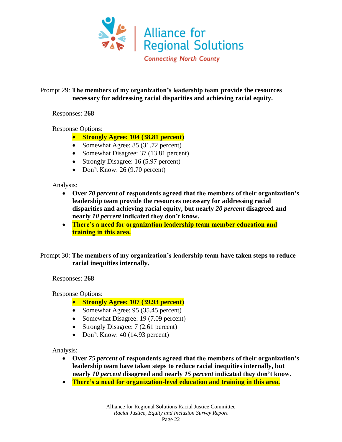

## Prompt 29: **The members of my organization's leadership team provide the resources necessary for addressing racial disparities and achieving racial equity.**

#### Responses: **268**

Response Options:

- **Strongly Agree: 104 (38.81 percent)**
- Somewhat Agree: 85 (31.72 percent)
- Somewhat Disagree: 37 (13.81 percent)
- Strongly Disagree: 16 (5.97 percent)
- Don't Know: 26 (9.70 percent)

Analysis:

- **Over** *70 percent* **of respondents agreed that the members of their organization's leadership team provide the resources necessary for addressing racial disparities and achieving racial equity, but nearly** *20 percent* **disagreed and nearly** *10 percent* **indicated they don't know.**
- **There's a need for organization leadership team member education and training in this area.**

Prompt 30: **The members of my organization's leadership team have taken steps to reduce racial inequities internally.**

Responses: **268**

Response Options:

- **Strongly Agree: 107 (39.93 percent)**
- Somewhat Agree: 95 (35.45 percent)
- Somewhat Disagree: 19 (7.09 percent)
- Strongly Disagree: 7 (2.61 percent)
- Don't Know: 40 (14.93 percent)

- **Over** *75 percent* **of respondents agreed that the members of their organization's leadership team have taken steps to reduce racial inequities internally, but nearly** *10 percent* **disagreed and nearly** *15 percent* **indicated they don't know.**
- **There's a need for organization-level education and training in this area.**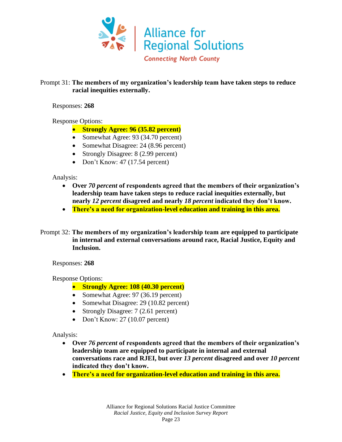

#### Prompt 31: **The members of my organization's leadership team have taken steps to reduce racial inequities externally.**

Responses: **268**

Response Options:

- **Strongly Agree: 96 (35.82 percent)**
- Somewhat Agree: 93 (34.70 percent)
- Somewhat Disagree: 24 (8.96 percent)
- Strongly Disagree: 8 (2.99 percent)
- Don't Know: 47 (17.54 percent)

Analysis:

- **Over** *70 percent* **of respondents agreed that the members of their organization's leadership team have taken steps to reduce racial inequities externally, but nearly** *12 percent* **disagreed and nearly** *18 percent* **indicated they don't know.**
- **There's a need for organization-level education and training in this area.**
- Prompt 32: **The members of my organization's leadership team are equipped to participate in internal and external conversations around race, Racial Justice, Equity and Inclusion.**

Responses: **268**

Response Options:

- **Strongly Agree: 108 (40.30 percent)**
- Somewhat Agree: 97 (36.19 percent)
- Somewhat Disagree: 29 (10.82 percent)
- Strongly Disagree: 7 (2.61 percent)
- Don't Know: 27 (10.07 percent)

- **Over** *76 percent* **of respondents agreed that the members of their organization's leadership team are equipped to participate in internal and external conversations race and RJEI, but over** *13 percent* **disagreed and over** *10 percent* **indicated they don't know.**
- **There's a need for organization-level education and training in this area.**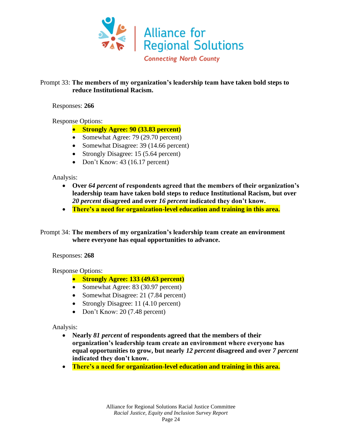

#### Prompt 33: **The members of my organization's leadership team have taken bold steps to reduce Institutional Racism.**

Responses: **266**

Response Options:

- **Strongly Agree: 90 (33.83 percent)**
- Somewhat Agree: 79 (29.70 percent)
- Somewhat Disagree: 39 (14.66 percent)
- Strongly Disagree: 15 (5.64 percent)
- Don't Know: 43 (16.17 percent)

Analysis:

- **Over** *64 percent* **of respondents agreed that the members of their organization's leadership team have taken bold steps to reduce Institutional Racism, but over**  *20 percent* **disagreed and over** *16 percent* **indicated they don't know.**
- **There's a need for organization-level education and training in this area.**

Prompt 34: **The members of my organization's leadership team create an environment where everyone has equal opportunities to advance.**

Responses: **268**

Response Options:

- **Strongly Agree: 133 (49.63 percent)**
- Somewhat Agree: 83 (30.97 percent)
- Somewhat Disagree: 21 (7.84 percent)
- Strongly Disagree: 11 (4.10 percent)
- Don't Know: 20 (7.48 percent)

- **Nearly** *81 percent* **of respondents agreed that the members of their organization's leadership team create an environment where everyone has equal opportunities to grow, but nearly** *12 percent* **disagreed and over** *7 percent*  **indicated they don't know.**
- **There's a need for organization-level education and training in this area.**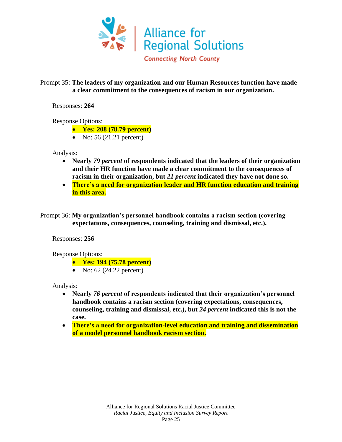

#### Prompt 35: **The leaders of my organization and our Human Resources function have made a clear commitment to the consequences of racism in our organization.**

Responses: **264**

Response Options:

- **Yes: 208 (78.79 percent)**
- No:  $56 (21.21)$  percent)

Analysis:

- **Nearly** *79 percent* **of respondents indicated that the leaders of their organization and their HR function have made a clear commitment to the consequences of racism in their organization, but** *21 percent* **indicated they have not done so.**
- **There's a need for organization leader and HR function education and training in this area.**
- Prompt 36: **My organization's personnel handbook contains a racism section (covering expectations, consequences, counseling, training and dismissal, etc.).**

Responses: **256**

Response Options:

- **Yes: 194 (75.78 percent)**
- No:  $62$  (24.22 percent)

- **Nearly** *76 percent* **of respondents indicated that their organization's personnel handbook contains a racism section (covering expectations, consequences, counseling, training and dismissal, etc.), but** *24 percent* **indicated this is not the case.**
- **There's a need for organization-level education and training and dissemination of a model personnel handbook racism section.**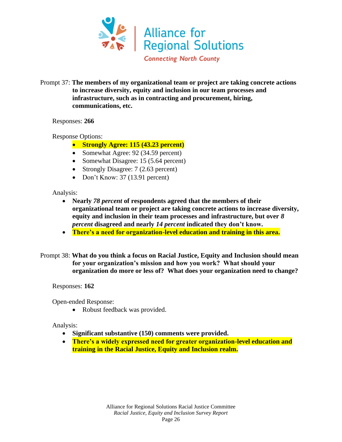

Prompt 37: **The members of my organizational team or project are taking concrete actions to increase diversity, equity and inclusion in our team processes and infrastructure, such as in contracting and procurement, hiring, communications, etc.**

Responses: **266**

Response Options:

- **Strongly Agree: 115 (43.23 percent)**
- Somewhat Agree: 92 (34.59 percent)
- Somewhat Disagree: 15 (5.64 percent)
- Strongly Disagree: 7 (2.63 percent)
- Don't Know: 37 (13.91 percent)

Analysis:

- **Nearly** *78 percent* **of respondents agreed that the members of their organizational team or project are taking concrete actions to increase diversity, equity and inclusion in their team processes and infrastructure, but over** *8 percent* **disagreed and nearly** *14 percent* **indicated they don't know.**
- **There's a need for organization-level education and training in this area.**
- Prompt 38: **What do you think a focus on Racial Justice, Equity and Inclusion should mean for your organization's mission and how you work? What should your organization do more or less of? What does your organization need to change?**

Responses: **162**

Open-ended Response:

• Robust feedback was provided.

- **Significant substantive (150) comments were provided.**
- **There's a widely expressed need for greater organization-level education and training in the Racial Justice, Equity and Inclusion realm.**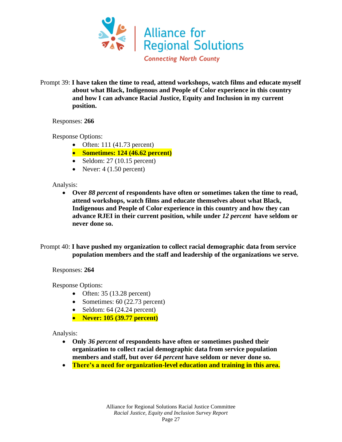

Prompt 39: **I have taken the time to read, attend workshops, watch films and educate myself about what Black, Indigenous and People of Color experience in this country and how I can advance Racial Justice, Equity and Inclusion in my current position.**

Responses: **266**

Response Options:

- Often:  $111 (41.73)$  percent)
- **Sometimes: 124 (46.62 percent)**
- Seldom:  $27(10.15)$  percent)
- Never:  $4(1.50 \text{ percent})$

Analysis:

• **Over** *88 percent* **of respondents have often or sometimes taken the time to read, attend workshops, watch films and educate themselves about what Black, Indigenous and People of Color experience in this country and how they can advance RJEI in their current position, while under** *12 percent* **have seldom or never done so.** 

Prompt 40: **I have pushed my organization to collect racial demographic data from service population members and the staff and leadership of the organizations we serve.**

Responses: **264**

Response Options:

- Often:  $35(13.28)$  percent)
- Sometimes: 60 (22.73 percent)
- Seldom:  $64$  (24.24 percent)
- **Never: 105 (39.77 percent)**

- **Only** *36 percent* **of respondents have often or sometimes pushed their organization to collect racial demographic data from service population members and staff, but over** *64 percent* **have seldom or never done so.**
- **There's a need for organization-level education and training in this area.**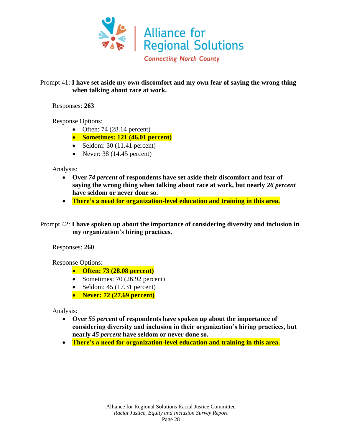

#### Prompt 41: **I have set aside my own discomfort and my own fear of saying the wrong thing when talking about race at work.**

Responses: **263**

Response Options:

- Often: 74  $(28.14)$  percent)
- **Sometimes: 121 (46.01 percent)**
- Seldom:  $30(11.41)$  percent)
- Never:  $38(14.45)$  percent)

Analysis:

- **Over** *74 percent* **of respondents have set aside their discomfort and fear of saying the wrong thing when talking about race at work, but nearly** *26 percent* **have seldom or never done so.**
- **There's a need for organization-level education and training in this area.**

Prompt 42: **I have spoken up about the importance of considering diversity and inclusion in my organization's hiring practices.**

Responses: **260**

Response Options:

- **Often: 73 (28.08 percent)**
- Sometimes: 70 (26.92 percent)
- Seldom:  $45$  (17.31 percent)
- **Never: 72 (27.69 percent)**

- **Over** *55 percent* **of respondents have spoken up about the importance of considering diversity and inclusion in their organization's hiring practices, but nearly** *45 percent* **have seldom or never done so.**
- **There's a need for organization-level education and training in this area.**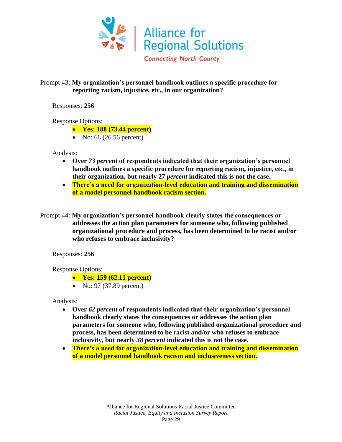

#### Prompt 43: **My organization's personnel handbook outlines a specific procedure for reporting racism, injustice, etc., in our organization?**

Responses: **256**

#### Response Options:

- **Yes: 188 (73.44 percent)**
- No: 68 (26.56 percent)

Analysis:

- **Over** *73 percent* **of respondents indicated that their organization's personnel handbook outlines a specific procedure for reporting racism, injustice, etc., in their organization, but nearly 27** *percent* **indicated this is not the case.**
- **There's a need for organization-level education and training and dissemination of a model personnel handbook racism section.**
- Prompt 44: **My organization's personnel handbook clearly states the consequences or addresses the action plan parameters for someone who, following published organizational procedure and process, has been determined to be racist and/or who refuses to embrace inclusivity?**

Responses: **256**

Response Options:

- **Yes: 159 (62.11 percent)**
- No: 97 (37.89 percent)

- **Over** *62 percent* **of respondents indicated that their organization's personnel handbook clearly states the consequences or addresses the action plan parameters for someone who, following published organizational procedure and process, has been determined to be racist and/or who refuses to embrace inclusivity, but nearly** *38 percent* **indicated this is not the case.**
- **There's a need for organization-level education and training and dissemination of a model personnel handbook racism and inclusiveness section.**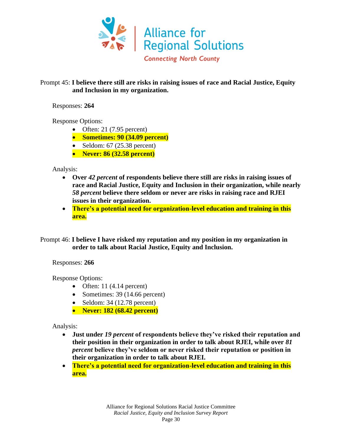

#### Prompt 45: **I believe there still are risks in raising issues of race and Racial Justice, Equity and Inclusion in my organization.**

Responses: **264**

Response Options:

- Often: 21 (7.95 percent)
- **Sometimes: 90 (34.09 percent)**
- Seldom:  $67$  (25.38 percent)
- **Never: 86 (32.58 percent)**

Analysis:

- **Over** *42 percent* **of respondents believe there still are risks in raising issues of race and Racial Justice, Equity and Inclusion in their organization, while nearly**  *58 percent* **believe there seldom or never are risks in raising race and RJEI issues in their organization.**
- **There's a potential need for organization-level education and training in this area.**

Prompt 46: **I believe I have risked my reputation and my position in my organization in order to talk about Racial Justice, Equity and Inclusion.**

Responses: **266**

Response Options:

- Often: 11  $(4.14$  percent)
- Sometimes: 39 (14.66 percent)
- Seldom:  $34$  (12.78 percent)
- **Never: 182 (68.42 percent)**

- **Just under** *19 percent* **of respondents believe they've risked their reputation and their position in their organization in order to talk about RJEI, while over** *81 percent* **believe they've seldom or never risked their reputation or position in their organization in order to talk about RJEI.**
- **There's a potential need for organization-level education and training in this area.**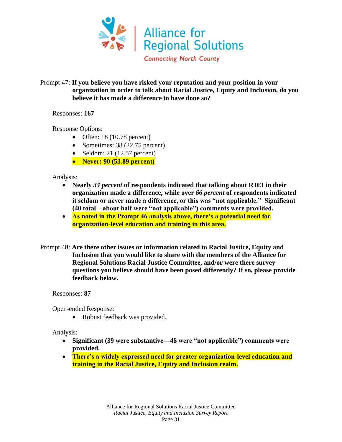

#### Prompt 47: **If you believe you have risked your reputation and your position in your organization in order to talk about Racial Justice, Equity and Inclusion, do you believe it has made a difference to have done so?**

Responses: **167**

Response Options:

- Often: 18 (10.78 percent)
- Sometimes: 38 (22.75 percent)
- Seldom: 21 (12.57 percent)
- **Never: 90 (53.89 percent)**

Analysis:

- **Nearly** *34 percent* **of respondents indicated that talking about RJEI in their organization made a difference, while over** *66 percent* **of respondents indicated it seldom or never made a difference, or this was "not applicable." Significant (40 total—about half were "not applicable") comments were provided.**
- **As noted in the Prompt 46 analysis above, there's a potential need for organization-level education and training in this area.**
- Prompt 48: **Are there other issues or information related to Racial Justice, Equity and Inclusion that you would like to share with the members of the Alliance for Regional Solutions Racial Justice Committee, and/or were there survey questions you believe should have been posed differently? If so, please provide feedback below.**

Responses: **87**

Open-ended Response:

• Robust feedback was provided.

- **Significant (39 were substantive—48 were "not applicable") comments were provided.**
- **There's a widely expressed need for greater organization-level education and training in the Racial Justice, Equity and Inclusion realm.**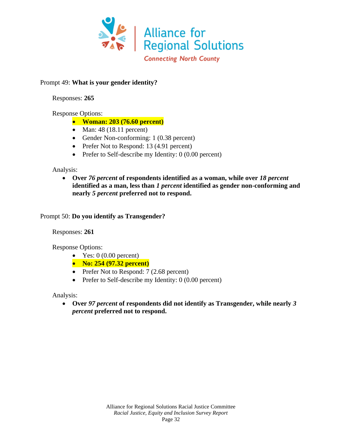

## Prompt 49: **What is your gender identity?**

Responses: **265**

## Response Options:

- **Woman: 203 (76.60 percent)**
- Man: 48 (18.11 percent)
- Gender Non-conforming: 1 (0.38 percent)
- Prefer Not to Respond: 13 (4.91 percent)
- Prefer to Self-describe my Identity: 0 (0.00 percent)

#### Analysis:

• **Over** *76 percent* **of respondents identified as a woman, while over** *18 percent* **identified as a man, less than** *1 percent* **identified as gender non-conforming and nearly** *5 percent* **preferred not to respond.**

#### Prompt 50: **Do you identify as Transgender?**

Responses: **261**

Response Options:

- Yes:  $0(0.00$  percent)
- **No: 254 (97.32 percent)**
- Prefer Not to Respond: 7 (2.68 percent)
- Prefer to Self-describe my Identity: 0 (0.00 percent)

Analysis:

• **Over** *97 percent* **of respondents did not identify as Transgender, while nearly** *3 percent* **preferred not to respond.**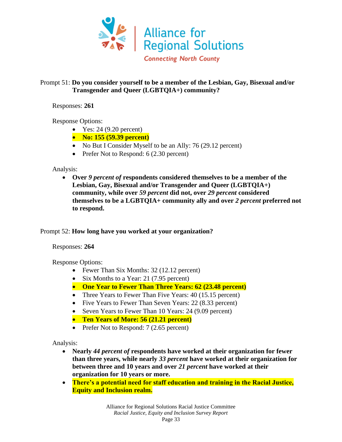

#### Prompt 51: **Do you consider yourself to be a member of the Lesbian, Gay, Bisexual and/or Transgender and Queer (LGBTQIA+) community?**

Responses: **261**

Response Options:

- Yes:  $24 (9.20 \text{ percent})$
- **No: 155 (59.39 percent)**
- No But I Consider Myself to be an Ally: 76 (29.12 percent)
- Prefer Not to Respond: 6 (2.30 percent)

#### Analysis:

• **Over** *9 percent of* **respondents considered themselves to be a member of the Lesbian, Gay, Bisexual and/or Transgender and Queer (LGBTQIA+) community, while over** *59 percent* **did not, over** *29 percent* **considered themselves to be a LGBTQIA+ community ally and over** *2 percent* **preferred not to respond.**

#### Prompt 52: **How long have you worked at your organization?**

#### Responses: **264**

Response Options:

- Fewer Than Six Months: 32 (12.12 percent)
- Six Months to a Year: 21 (7.95 percent)
- **One Year to Fewer Than Three Years: 62 (23.48 percent)**
- Three Years to Fewer Than Five Years: 40 (15.15 percent)
- Five Years to Fewer Than Seven Years: 22 (8.33 percent)
- Seven Years to Fewer Than 10 Years: 24 (9.09 percent)
- **Ten Years of More: 56 (21.21 percent)**
- Prefer Not to Respond: 7 (2.65 percent)

- **Nearly** *44 percent of* **respondents have worked at their organization for fewer than three years, while nearly** *33 percent* **have worked at their organization for between three and 10 years and over** *21 percent* **have worked at their organization for 10 years or more.**
- **There's a potential need for staff education and training in the Racial Justice, Equity and Inclusion realm.**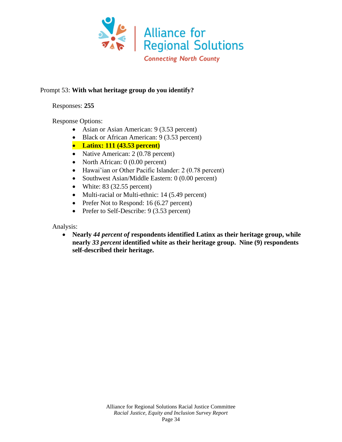

## Prompt 53: **With what heritage group do you identify?**

Responses: **255**

Response Options:

- Asian or Asian American: 9 (3.53 percent)
- Black or African American: 9 (3.53 percent)
- **Latinx: 111 (43.53 percent)**
- Native American: 2 (0.78 percent)
- North African: 0 (0.00 percent)
- Hawai'ian or Other Pacific Islander: 2 (0.78 percent)
- Southwest Asian/Middle Eastern: 0 (0.00 percent)
- White:  $83$  (32.55 percent)
- Multi-racial or Multi-ethnic: 14 (5.49 percent)
- Prefer Not to Respond: 16 (6.27 percent)
- Prefer to Self-Describe: 9 (3.53 percent)

Analysis:

• **Nearly** *44 percent of* **respondents identified Latinx as their heritage group, while nearly** *33 percent* **identified white as their heritage group. Nine (9) respondents self-described their heritage.**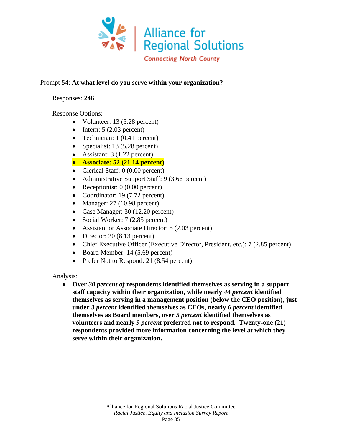

#### Prompt 54: **At what level do you serve within your organization?**

#### Responses: **246**

Response Options:

- Volunteer: 13 (5.28 percent)
- Intern:  $5(2.03)$  percent)
- Technician: 1 (0.41 percent)
- Specialist: 13 (5.28 percent)
- Assistant:  $3(1.22 \text{ percent})$
- **Associate: 52 (21.14 percent)**
- Clerical Staff: 0 (0.00 percent)
- Administrative Support Staff: 9 (3.66 percent)
- Receptionist: 0 (0.00 percent)
- Coordinator: 19 (7.72 percent)
- Manager: 27 (10.98 percent)
- Case Manager: 30 (12.20 percent)
- Social Worker: 7 (2.85 percent)
- Assistant or Associate Director: 5 (2.03 percent)
- Director: 20 (8.13 percent)
- Chief Executive Officer (Executive Director, President, etc.): 7 (2.85 percent)
- Board Member: 14 (5.69 percent)
- Prefer Not to Respond: 21 (8.54 percent)

Analysis:

• **Over** *30 percent of* **respondents identified themselves as serving in a support staff capacity within their organization, while nearly** *44 percent* **identified themselves as serving in a management position (below the CEO position), just under** *3 percent* **identified themselves as CEOs, nearly** *6 percent* **identified themselves as Board members, over** *5 percent* **identified themselves as volunteers and nearly** *9 percent* **preferred not to respond. Twenty-one (21) respondents provided more information concerning the level at which they serve within their organization.**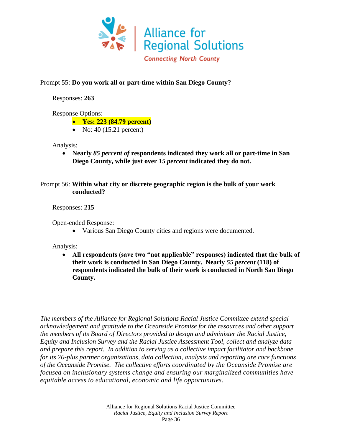

## Prompt 55: **Do you work all or part-time within San Diego County?**

Responses: **263**

Response Options:

- **Yes: 223 (84.79 percent)**
- No:  $40$  (15.21 percent)

#### Analysis:

• **Nearly** *85 percent of* **respondents indicated they work all or part-time in San Diego County, while just over** *15 percent* **indicated they do not.**

## Prompt 56: **Within what city or discrete geographic region is the bulk of your work conducted?**

Responses: **215**

Open-ended Response:

• Various San Diego County cities and regions were documented.

Analysis:

• **All respondents (save two "not applicable" responses) indicated that the bulk of their work is conducted in San Diego County. Nearly** *55 percent* **(118) of respondents indicated the bulk of their work is conducted in North San Diego County.**

*The members of the Alliance for Regional Solutions Racial Justice Committee extend special acknowledgement and gratitude to the Oceanside Promise for the resources and other support the members of its Board of Directors provided to design and administer the Racial Justice, Equity and Inclusion Survey and the Racial Justice Assessment Tool, collect and analyze data and prepare this report. In addition to serving as a collective impact facilitator and backbone for its 70-plus partner organizations, data collection, analysis and reporting are core functions of the Oceanside Promise*. *The collective efforts coordinated by the Oceanside Promise are focused on inclusionary systems change and ensuring our marginalized communities have equitable access to educational, economic and life opportunities*.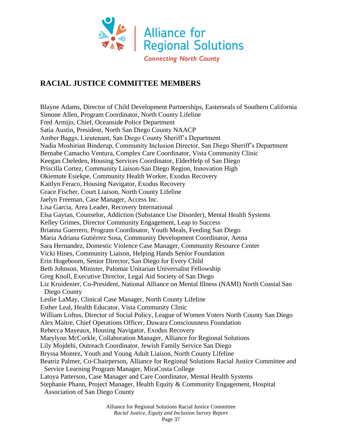

## **RACIAL JUSTICE COMMITTEE MEMBERS**

Blayne Adams, Director of Child Development Partnerships, Easterseals of Southern California Simone Allen, Program Coordinator, North County Lifeline Fred Armijo, Chief, Oceanside Police Department Satia Austin, President, North San Diego County NAACP Amber Baggs, Lieutenant, San Diego County Sheriff's Department Nadia Moshirian Binderup, Community Inclusion Director, San Diego Sheriff's Department Bernabe Camacho Ventura, Complex Care Coordinator, Vista Community Clinic Keegan Cheleden, Housing Services Coordinator, ElderHelp of San Diego Priscilla Cortez, Community Liaison-San Diego Region, Innovation High Okiemute Esiekpe, Community Health Worker, Exodus Recovery Kaitlyn Feraco, Housing Navigator, Exodus Recovery Grace Fischer, Court Liaison, North County Lifeline Jaelyn Freeman, Case Manager, Access Inc. Lisa Garcia, Area Leader, Recovery International Elsa Gaytan, Counselor, Addiction (Substance Use Disorder), Mental Health Systems Kelley Grimes, Director Community Engagement, Leap to Success Brianna Guerrero, Program Coordinator, Youth Meals, Feeding San Diego Maria Adriana Gutiérrez Sosa, Community Development Coordinator, Aetna Sara Hernandez, Domestic Violence Case Manager, Community Resource Center Vicki Hines, Community Liaison, Helping Hands Senior Foundation Erin Hogeboom, Senior Director, San Diego for Every Child Beth Johnson, Minister, Palomar Unitarian Universalist Fellowship Greg Knoll, Executive Director, Legal Aid Society of San Diego Liz Kruidenier, Co-President, National Alliance on Mental Illness (NAMI) North Coastal San Diego County Leslie LaMay, Clinical Case Manager, North County Lifeline Esther Leal, Health Educator, Vista Community Clinic William Loftus, Director of Social Policy, League of Women Voters North County San Diego Alex Maitre, Chief Operations Officer, Duwara Consciousness Foundation Rebecca Mayeaux, Housing Navigator, Exodus Recovery Marylynn McCorkle, Collaboration Manager, Alliance for Regional Solutions Lily Mojdehi, Outreach Coordinator, Jewish Family Service San Diego Bryssa Montez, Youth and Young Adult Liaison, North County Lifeline Beatriz Palmer, Co-Chairperson, Alliance for Regional Solutions Racial Justice Committee and Service Learning Program Manager, MiraCosta College Latoya Patterson, Case Manager and Care Coordinator, Mental Health Systems Stephanie Phann, Project Manager, Health Equity & Community Engagement, Hospital

Association of San Diego County

Alliance for Regional Solutions Racial Justice Committee

*Racial Justice, Equity and Inclusion Survey Report*